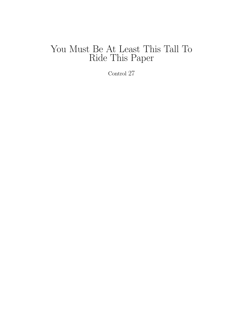# You Must Be At Least This Tall To Ride This Paper

Control 27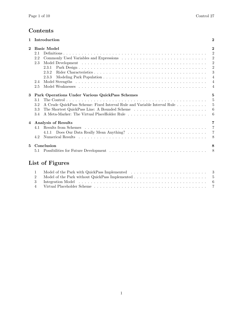## Contents

| $\mathbf{1}$ | Introduction                                                                                                                                                                                                                                            |                                                                                                                                                          |  |  |  |  |  |  |  |
|--------------|---------------------------------------------------------------------------------------------------------------------------------------------------------------------------------------------------------------------------------------------------------|----------------------------------------------------------------------------------------------------------------------------------------------------------|--|--|--|--|--|--|--|
| $\mathbf{2}$ | <b>Basic Model</b><br>2.1<br>2.2<br>2.3<br>2.3.1<br>2.3.2<br>2.3.3<br>2.4<br>2.5                                                                                                                                                                        | $\mathbf{2}$<br>$\overline{2}$<br>$\overline{2}$<br>$\overline{2}$<br>$\overline{2}$<br>$\sqrt{3}$<br>$\overline{4}$<br>$\overline{4}$<br>$\overline{4}$ |  |  |  |  |  |  |  |
| 3            | Park Operations Under Various QuickPass Schemes<br>3.1<br>A Crude QuickPass Scheme: Fixed Interval Rule and Variable Interval Rule<br>3.2<br>The Shortest QuickPass Line: A Bounded Scheme<br>3.3<br>A Meta-Marker: The Virtual PlaceHolder Rule<br>3.4 | $\mathbf{5}$<br>$\frac{5}{2}$<br>5<br>6<br>6                                                                                                             |  |  |  |  |  |  |  |
| 4            | <b>Analysis of Results</b><br>4.1<br>4.2                                                                                                                                                                                                                | 7<br>$\overline{7}$<br>$\overline{7}$<br>8                                                                                                               |  |  |  |  |  |  |  |
| 5            | Conclusion<br>5.1                                                                                                                                                                                                                                       | 8<br>8                                                                                                                                                   |  |  |  |  |  |  |  |
|              | List of Figures                                                                                                                                                                                                                                         |                                                                                                                                                          |  |  |  |  |  |  |  |
|              | 1<br>$\overline{2}$<br>Internation Model                                                                                                                                                                                                                | -5<br>$\mathcal{L}$                                                                                                                                      |  |  |  |  |  |  |  |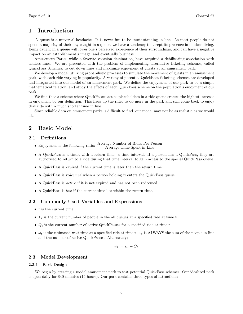### 1 Introduction

A queue is a universal headache. It is never fun to be stuck standing in line. As most people do not spend a majority of their day caught in a queue, we have a tendency to accept its presence in modern living. Being caught in a queue will lower one's perceived experience of their surroundings, and can have a negative impact on an establishment's image, and eventually business.

Amusement Parks, while a favorite vacation destination, have acquired a debilitating association with endless lines. We are presented with the problem of implementing alternative ticketing schemes, called QuickPass Schemes, to cut down lines and maximize enjoyment of guests at an amusement park.

We develop a model utilizing probabilistic processes to simulate the movement of guests in an amusement park, with each ride varying in popularity. A variety of potential QuickPass ticketing schemes are developed and integrated into our model of an amusement park. We define the enjoyment of our park to be a simple mathematical relation, and study the effects of each QuickPass scheme on the population's enjoyment of our park.

We find that a scheme where QuickPasses act as placeholders in a ride queue creates the highest increase in enjoyment by our definition. This frees up the rider to do more in the park and still come back to enjoy that ride with a much shorter time in line.

Since reliable data on amusement parks is difficult to find, our model may not be as realistic as we would like.

## 2 Basic Model

#### 2.1 Definitions

- Enjoyment is the following ratio:  $\frac{\text{Average Number of Ridge Per Person}}{\text{Average Time Spent in Line}}$
- A QuickPass is a ticket with a return time: a time interval. If a person has a QuickPass, they are authorized to return to a ride during that time interval to gain access to the special QuickPass queue.
- A QuickPass is expired if the current time is later than the return time.
- A QuickPass is redeemed when a person holding it enters the QuickPass queue.
- A QuickPass is active if it is not expired and has not been redeemed.
- A QuickPass is live if the current time lies within the return time.

#### 2.2 Commonly Used Variables and Expressions

- $\bullet$  t is the current time.
- $L_t$  is the current number of people in the all queues at a specified ride at time t.
- $Q_t$  is the current number of active QuickPasses for a specified ride at time t.
- $\omega_t$  is the estimated wait time at a specified ride at time t.  $\omega_t$  is ALWAYS the sum of the people in line and the number of active QuickPasses. Alternately;

$$
\omega_t := L_t + Q_t
$$

#### 2.3 Model Development

#### 2.3.1 Park Design

We begin by creating a model amusement park to test potential QuickPass schemes. Our idealized park is open daily for 840 minutes (14 hours). Our park contains three types of attractions: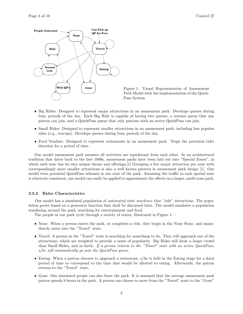





- Big Rides: Designed to represent major attractions in an amusement park. Develops queues during busy periods of the day. Each Big Ride is capable of having two queues, a normal queue that any patron can join, and a QuickPass queue that only patrons with an active QuickPass can join.
- Small Rides: Designed to represent smaller attractions in an amusement park, including less popular rides (e.g., teacups). Develops queues during busy periods of the day.
- Food Vendors: Designed to represent restaurants in an amusement park. Traps the potential rider duration for a period of time.

Our model amusement park assumes all activities are equidistant from each other. In an architectural tradition that dates back to the late 1800s, amusement parks have been laid out into "Spacial Zones", in which each zone has its own unique theme and offerings. [1] Grouping a few major attraction per zone with correspondingly more smaller attractions is also a well known pattern in amusement park design [1]. Our model tests potential QuickPass schemes in one zone of the park. Assuming the traffic in each spatial zone is relatively consistent, our model can easily be applied to approximate the effects on a larger, multi-zone park.

#### 2.3.2 Rider Characteristics

Our model has a simulated population of automated state machines that "ride" attractions. The population grows based on a generator function that shall be discussed later. The model simulates a population wandering around the park, searching for entertainment and food.

The people in our park cycle through a variety of states, illustrated in Figure 1.

- None: When a person enters the park, or completes a ride, they begin in the None State, and immediately move into the "Travel" state.
- Travel: A person in the "Travel" state is searching for something to do. They will approach one of the attractions, which are weighted to provide a sense of popularity. Big Rides will draw a larger crowd than Small Rides, and so forth. If a person returns to the "Travel" state with an active QuickPass, s/he will automatically go join the QuickPass queue.
- Eating: When a patron chooses to approach a restaurant, s/he is held in the Eating stage for a fixed period of time to correspond to the time that would be allotted to eating. Afterwards, the patron returns to the "Travel" state.
- Gone: Our simulated people can also leave the park. It is assumed that the average amusement park patron spends 8 hours in the park. A person can choose to move from the "Travel" state to the "Gone"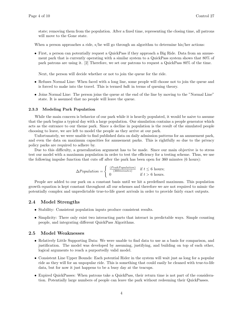state; removing them from the population. After a fixed time, representing the closing time, all patrons will move to the Gone state.

When a person approaches a ride, s/he will go through an algorithm to determine his/her actions:

• First, a person can potentially request a QuickPass if they approach a Big Ride. Data from an amusement park that is currently operating with a similar system to a QuickPass system shows that 80% of park patrons are using it. [2] Therefore, we set our patrons to request a QuickPass 80% of the time.

Next, the person will decide whether or not to join the queue for the ride.

- Refuses Normal Line: When faced with a long line, some people will choose not to join the queue and is forced to make into the travel. This is termed balk in terms of queuing theory.
- Joins Normal Line: The person joins the queue at the end of the line by moving to the "Normal Line" state. It is assumed that no people will leave the queue.

#### 2.3.3 Modeling Park Population

While the main concern is behavior of our park while it is heavily populated, it would be naive to assume that the park begins a typical day with a large population. Our simulation contains a people generator which acts as the entrance to our theme park. Since a decline in population is the result of the simulated people choosing to leave, we are left to model the people as they arrive at our park.

Unfortunately, we were unable to find published data on daily admission patterns for an amusement park, and even the data on maximum capacities for amusement parks. This is rightfully so due to the privacy policy parks are required to adhere by.

Due to this difficulty, a generalization argument has to be made. Since our main objective is to stress test our model with a maximum population in order to test the efficiency for a testing scheme. Thus, we use the following impulse function that cuts off after the park has been open for 360 minutes (6 hours):

$$
\Delta Population = \begin{cases} \frac{(PeakPopulation)}{(360 minutes)} & \text{if } t \leq 6 \text{ hours;} \\ 0 & \text{if } t > 6 \text{ hours.} \end{cases}
$$

People are added to our park on a constant basis until we hit a predefined maximum. This population growth equation is kept constant throughout all our schemes and therefore we are not required to mimic the potentially complex and unpredictable true-to-life guest arrivals in order to provide fairly exact outputs.

#### 2.4 Model Strengths

- Stability: Consistent population inputs produce consistent results.
- Simplicity: There only exist two interacting parts that interact in predictable ways. Simple counting people, and integrating different QuickPass Algorithms.

#### 2.5 Model Weaknesses

- Relatively Little Supporting Data: We were unable to find data to use as a basis for comparison, and justification. The model was developed by assuming, justifying, and building on top of each other, logical arguments to reach a purportedly valid model.
- Consistent Line Upper Bounds: Each potential Rider in the system will wait just as long for a popular ride as they will for an unpopular ride. This is something that could easily be cleaned with true-to-life data, but for now it just happens to be a busy day at the teacups.
- Expired QuickPasses: When patrons take a QuickPass, their return time is not part of the consideration. Potentially large numbers of people can leave the park without redeeming their QuickPasses.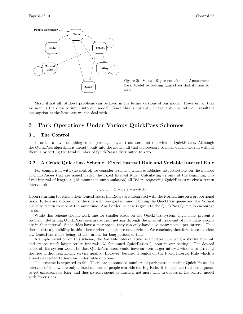

Figure 2: Visual Representation of Amusement Park Model by setting QuickPass distribution to zero

Most, if not all, of these problems can be fixed in the future versions of our model. However, all that we need is the data to input into our model. Since this is currently unavailable, me take our resultant assumption as the best case we can deal with.

## 3 Park Operations Under Various QuickPass Schemes

#### 3.1 The Control

In order to have something to compare against, all tests were first run with no QuickPasses. Although the QuickPass algorithm is already built into the model, all that is necessary to make our model run without them is by setting the total number of QuickPasses distributed to zero.

#### 3.2 A Crude QuickPass Scheme: Fixed Interval Rule and Variable Interval Rule

For comparison with the control, we consider a scheme which establishes no restrictions on the number of QuickPasses that are issued, called the Fixed Interval Rule. Calculating  $\omega_t$  only at the beginning of a fixed interval of length  $\lambda$ , (15 minutes in our simulation) all Riders requesting QuickPasses receive a return interval of:

$$
I_{return} = (t + \omega_t, t + \omega_t + \lambda)
$$

Upon returning to redeem their QuickPasses, the Riders are integrated with the Normal line on a proportional basis. Riders are allowed onto the ride with one goal in mind: Forcing the QuickPass queue and the Normal queue to return to zero at the same time. Any borderline case is given to the QuickPass Queue to encourage its use.

While this scheme should work fine for smaller loads on the QuickPass system, high loads present a problem. Returning QuickPass users are subject getting through the interval irrelevant of how many people are in that interval. Since rides have a max speed, they can only handle so many people per interval. Thus there exists a possibility in this scheme where people are not serviced. We conclude, therefore, to see a select few QuickPass riders being "stuck" in line for long periods of time.

A simple variation on this scheme, the Variable Interval Rule recalculates  $\omega_t$  during a shorter interval, and creates much larger return intervals  $(\lambda)$  for issued QuickPasses (1 hour in our testing). The desired effect of this system would be that QuickPass users would have an even larger interval window to arrive at the ride without sacrificing service quality. However, because it builds on the Fixed Interval Rule which is already expected to have an undesirable outcome.

This scheme is expected to fail. There are unbounded numbers of park patrons getting Quick Passes for intervals of time where only a fixed number of people can ride the Big Ride. It is expected that both queues to get unreasonably long, and thus patrons spend as much, if not more time in queues in the control model with fewer rides.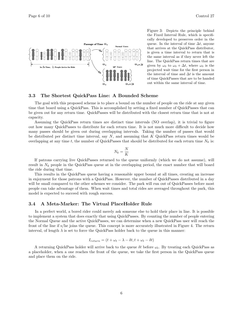

Figure 3: Depicts the principle behind the Fixed Interval Rule, which is specifically developed to preserves order in the queue. In the interval of time  $\Delta t$ , anyone that arrives at the QuickPass distributor, is given a time interval to return that is the same interval as if they never left the line. The QuickPass return times that are given by  $\omega_0$  to  $\omega_0 + \Delta t$ , where  $\omega_0$  is the projected wait time for the first person in the interval of time and  $\Delta t$  is the amount of time QuickPasses that are to be handed out within the same interval of time.

#### 3.3 The Shortest QuickPass Line: A Bounded Scheme

The goal with this proposed scheme is to place a bound on the number of people on the ride at any given time that board using a QuickPass. This is accomplished by setting a fixed number of QuickPasses that can be given out for any return time. QuickPasses will be distributed with the closest return time that is not at capacity.

Assuming the QuickPass return times are distinct time intervals (NO overlap), it is trivial to figure out how many QuickPasses to distribute for each return time. It is not much more difficult to decide how many passes should be given out during overlapping intervals. Taking the number of passes that would be distributed per distinct time interval, say  $N$ , and assuming that  $K$  QuickPass return times would be overlapping at any time t, the number of QuickPasses that should be distributed for each return time  $N_k$  is:

$$
N_k = \frac{N}{K}
$$

If patrons carrying live QuickPasses returned to the queue uniformly (which we do not assume), will result in  $N_k$  people in the QuickPass queue at in the overlapping period, the exact number that will board the ride during that time.

This results in the QuickPass queue having a reasonable upper bound at all times, creating an increase in enjoyment for those patrons with a QuickPass. However, the number of QuickPasses distributed in a day will be small compared to the other schemes we consider. The park will run out of QuickPasses before most people can take advantage of them. When wait times and total rides are averaged throughout the park, this model is expected to succeed with rough success.

#### 3.4 A Meta-Marker: The Virtual PlaceHolder Rule

In a perfect world, a bored rider could merely ask someone else to hold their place in line. It is possible to implement a system that does exactly that using QuickPasses. By counting the number of people entering the Normal Queue and the active QuickPasses, we can determine when a new QuickPass user will reach the front of the line if s/he joins the queue. This concept is more accurately illustrated in Figure 4. The return interval, of length  $\lambda$  is set to force the QuickPass holder back to the queue in this manner:

$$
I_{return} = (t + \omega_t - \lambda - \delta t, t + \omega_t - \delta t)
$$

A returning QuickPass holder will arrive back to the queue  $\delta t$  before  $\omega_t$ . By treating each QuickPass as a placeholder, when a one reaches the front of the queue, we take the first person in the QuickPass queue and place them on the ride.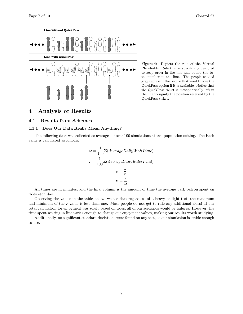



Figure 4: Depicts the role of the Virtual Placeholder Rule that is specifically designed to keep order in the line and bound the total number in the line. The people shaded gray represent the people that would chose the QuickPass option if it is available. Notice that the QuickPass ticket is metaphorically left in the line to signify the position reserved by the QuickPass ticket.

## 4 Analysis of Results

#### 4.1 Results from Schemes

#### 4.1.1 Does Our Data Really Mean Anything?

The following data was collected as averages of over 100 simulations at two population setting. The Each value is calculated as follows:

$$
\omega = \frac{1}{100} \Sigma (AverageDailyWaitTime)
$$

$$
r = \frac{1}{100} \Sigma (AverageDailyRidesTotal)
$$

$$
\rho = \frac{\omega}{r}
$$

$$
E = \frac{r}{\omega}
$$

All times are in minutes, and the final column is the amount of time the average park patron spent on rides each day.

Observing the values in the table below, we see that regardless of a heavy or light test, the maximum and minimum of the r value is less than one. Most people do not get to ride any additional rides! If our total calculation for enjoyment was solely based on rides, all of our scenarios would be failures. However, the time spent waiting in line varies enough to change our enjoyment values, making our results worth studying.

Additionally, no significant standard deviations were found on any test, so our simulation is stable enough to use.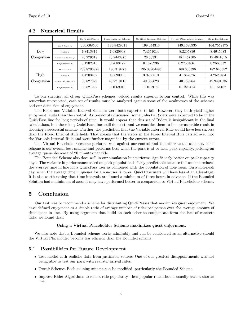|                 |                      | No QuickPasses | Fixed Interval Scheme | Modified Interval Scheme | Virtual Placeholder Scheme | Bounded Scheme |
|-----------------|----------------------|----------------|-----------------------|--------------------------|----------------------------|----------------|
|                 | Wait time $\omega$   | 206.068506     | 183.9429615           | 199.044313               | 149.1686935                | 164.7552175    |
| $_{\text{Low}}$ | Rides $r$            | 7.8413814      | 7.6820908             | 7.4651014                | 8.2205856                  | 8.4645683      |
| Congestion      | Time on Rides $\rho$ | 26.279618      | 23.9443875            | 26.66331                 | 18.1457505                 | 19.4641015     |
|                 | Enjoyment $E$        | 0.1902615      | 0.2088172             | 0.1875236                | 0.27554661                 | 0.2568832      |
|                 | Wait time            | 268.8796975    | 190.319273            | 195.08904495             | 168.633396                 | 182.643352     |
| High            | Rides $r$            | 4.4203402      | 4.0690933             | 3.9766510                | 4.1362875                  | 4.2525484      |
| Congestion      | Time On Rides $\rho$ | 60.827829      | 46.7719115            | 49.058628                | 40.769264                  | 42.9491535     |
|                 | Enjoyment $E$        | 0.0821992      | 0.1069018             | 0.1019189                | 0.1226414                  | 0.1164167      |

#### 4.2 Numerical Results

To our surprise, all of our QuickPass schemes yielded results superior to our control. While this was somewhat unexpected, each set of results must be analyzed against some of the weaknesses of the schemes and our definition of enjoyment.

The Fixed and Variable Interval Schemes were both expected to fail. However, they both yield higher enjoyment levels than the control. As previously discussed, some unlucky Riders were expected to be in the QuickPass line for long periods of time. It would appear that this set of Riders is insignificant in the final calculations, but these long QuickPass lines still do exist, and we consider them to be unreasonable result in choosing a successful scheme. Further, the prediction that the Variable Interval Rule would have less success than the Fixed Interval Rule held. That means that the errors in the Fixed Interval Rule carried over into the Variable Interval Rule and were further magnified by the current errors.

The Virtual Placeholder scheme performs well against our control and the other tested schemes. This scheme is our overall best scheme and performs best when the park is at or near peak capacity, yielding an average queue decrease of 20 minutes per ride.

The Bounded Scheme also does well in our simulation but performs significantly better on peak capacity days. The variance in performance based on park population is fairly predictable because this scheme reduces the average time in line for a QuickPass user as compared with the population of non-users. On a non-peak day, when the average time in queues for a non-user is lower, QuickPass users will have less of an advantage. It is also worth noting that time intervals are issued a minimum of three hours in advance. If the Bounded Solution had a minimum of zero, it may have performed better in comparison to Virtual Placeholder scheme.

## 5 Conclusion

Our task was to recommend a scheme for distributing QuickPasses that maximizes guest enjoyment. We have defined enjoyment as a simple ratio of average number of rides per person over the average amount of time spent in line. By using argument that build on each other to compensate form the lack of concrete data, we found that:

#### Using a Virtual Placeholder Scheme maximizes guest enjoyment.

We also note that a Bounded scheme works admirably and can be considered as an alternative should the Virtual Placeholder become less efficient than the Bounded scheme.

#### 5.1 Possibilities for Future Development

- Test model with realistic data from justifiable sources One of our greatest disappointments was not being able to test our park with realistic arrival rates.
- Tweak Schemes Each existing scheme can be modified, particularly the Bounded Scheme.
- Improve Rider Algorithms to reflect ride popularity less popular rides should usually have a shorter line.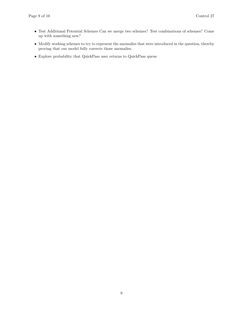- Test Additional Potential Schemes Can we merge two schemes? Test combinations of schemes? Come up with something new?
- Modify working schemes to try to represent the anomalies that were introduced in the question, thereby proving that our model fully corrects those anomalies.
- $\bullet\,$  Explore probability that QuickPass user returns to QuickPass queue